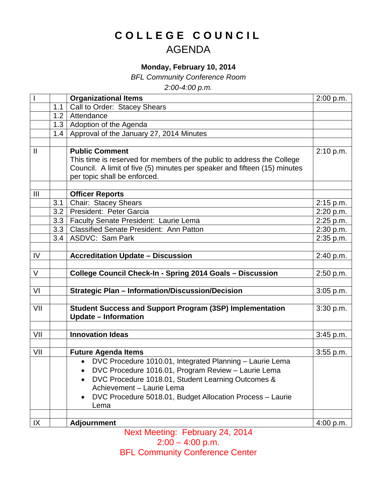## **COLLEGE COUNCIL** AGENDA

## **Monday, February 10, 2014**

*BFL Community Conference Room*

*2:00-4:00 p.m.*

|                |     | <b>Organizational Items</b>                                                                    | 2:00 p.m.              |
|----------------|-----|------------------------------------------------------------------------------------------------|------------------------|
|                | 1.1 | Call to Order: Stacey Shears                                                                   |                        |
|                | 1.2 | Attendance                                                                                     |                        |
|                | 1.3 | Adoption of the Agenda                                                                         |                        |
|                | 1.4 | Approval of the January 27, 2014 Minutes                                                       |                        |
|                |     |                                                                                                |                        |
| $\mathbf{I}$   |     | <b>Public Comment</b>                                                                          | 2:10 p.m.              |
|                |     | This time is reserved for members of the public to address the College                         |                        |
|                |     | Council. A limit of five (5) minutes per speaker and fifteen (15) minutes                      |                        |
|                |     | per topic shall be enforced.                                                                   |                        |
|                |     |                                                                                                |                        |
| $\mathbf{III}$ | 3.1 | <b>Officer Reports</b>                                                                         |                        |
|                | 3.2 | Chair: Stacey Shears<br>President: Peter Garcia                                                | 2:15 p.m.              |
|                | 3.3 |                                                                                                | 2:20 p.m.              |
|                | 3.3 | Faculty Senate President: Laurie Lema<br><b>Classified Senate President: Ann Patton</b>        | 2:25 p.m.<br>2:30 p.m. |
|                | 3.4 | <b>ASDVC: Sam Park</b>                                                                         | 2:35 p.m.              |
|                |     |                                                                                                |                        |
| IV             |     | <b>Accreditation Update - Discussion</b>                                                       | 2:40 p.m.              |
|                |     |                                                                                                |                        |
| $\vee$         |     | College Council Check-In - Spring 2014 Goals - Discussion                                      | 2:50 p.m.              |
|                |     |                                                                                                |                        |
| VI             |     | <b>Strategic Plan - Information/Discussion/Decision</b>                                        | 3:05 p.m.              |
|                |     |                                                                                                |                        |
| VII            |     | <b>Student Success and Support Program (3SP) Implementation</b><br><b>Update - Information</b> | 3:30 p.m.              |
|                |     |                                                                                                |                        |
| VII            |     | <b>Innovation Ideas</b>                                                                        | 3:45 p.m.              |
|                |     |                                                                                                |                        |
| VII            |     | <b>Future Agenda Items</b>                                                                     | $3:55$ p.m.            |
|                |     | • DVC Procedure 1010.01, Integrated Planning - Laurie Lema                                     |                        |
|                |     | DVC Procedure 1016.01, Program Review - Laurie Lema                                            |                        |
|                |     | DVC Procedure 1018.01, Student Learning Outcomes &                                             |                        |
|                |     | Achievement - Laurie Lema                                                                      |                        |
|                |     | DVC Procedure 5018.01, Budget Allocation Process - Laurie<br>Lema                              |                        |
|                |     |                                                                                                |                        |
| IX             |     | <b>Adjournment</b>                                                                             | 4:00 p.m.              |

Next Meeting: February 24, 2014  $2:00 - 4:00 \text{ p.m.}$ **BFL Community Conference Center**